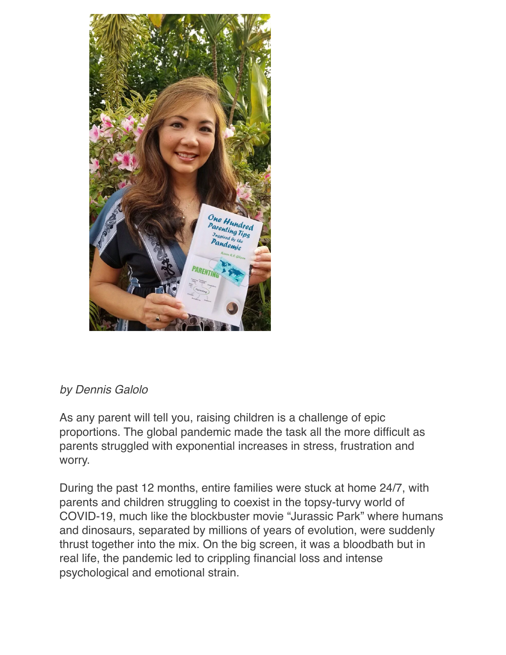

## *by Dennis Galolo*

As any parent will tell you, raising children is a challenge of epic proportions. The global pandemic made the task all the more difficult as parents struggled with exponential increases in stress, frustration and worry.

During the past 12 months, entire families were stuck at home 24/7, with parents and children struggling to coexist in the topsy-turvy world of COVID-19, much like the blockbuster movie "Jurassic Park" where humans and dinosaurs, separated by millions of years of evolution, were suddenly thrust together into the mix. On the big screen, it was a bloodbath but in real life, the pandemic led to crippling financial loss and intense psychological and emotional strain.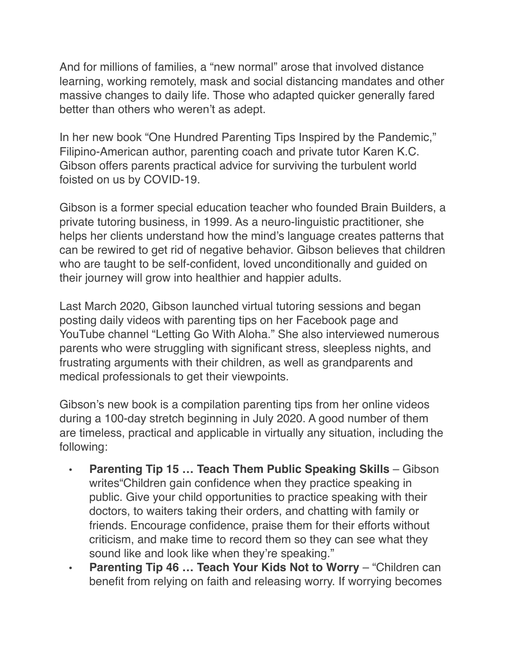And for millions of families, a "new normal" arose that involved distance learning, working remotely, mask and social distancing mandates and other massive changes to daily life. Those who adapted quicker generally fared better than others who weren't as adept.

In her new book "One Hundred Parenting Tips Inspired by the Pandemic," Filipino-American author, parenting coach and private tutor Karen K.C. Gibson offers parents practical advice for surviving the turbulent world foisted on us by COVID-19.

Gibson is a former special education teacher who founded Brain Builders, a private tutoring business, in 1999. As a neuro-linguistic practitioner, she helps her clients understand how the mind's language creates patterns that can be rewired to get rid of negative behavior. Gibson believes that children who are taught to be self-confident, loved unconditionally and guided on their journey will grow into healthier and happier adults.

Last March 2020, Gibson launched virtual tutoring sessions and began posting daily videos with parenting tips on her Facebook page and YouTube channel "Letting Go With Aloha." She also interviewed numerous parents who were struggling with significant stress, sleepless nights, and frustrating arguments with their children, as well as grandparents and medical professionals to get their viewpoints.

Gibson's new book is a compilation parenting tips from her online videos during a 100-day stretch beginning in July 2020. A good number of them are timeless, practical and applicable in virtually any situation, including the following:

- **Parenting Tip 15 ... Teach Them Public Speaking Skills** Gibson writes"Children gain confidence when they practice speaking in public. Give your child opportunities to practice speaking with their doctors, to waiters taking their orders, and chatting with family or friends. Encourage confidence, praise them for their efforts without criticism, and make time to record them so they can see what they sound like and look like when they're speaking."
- **• Parenting Tip 46 … Teach Your Kids Not to Worry** "Children can benefit from relying on faith and releasing worry. If worrying becomes